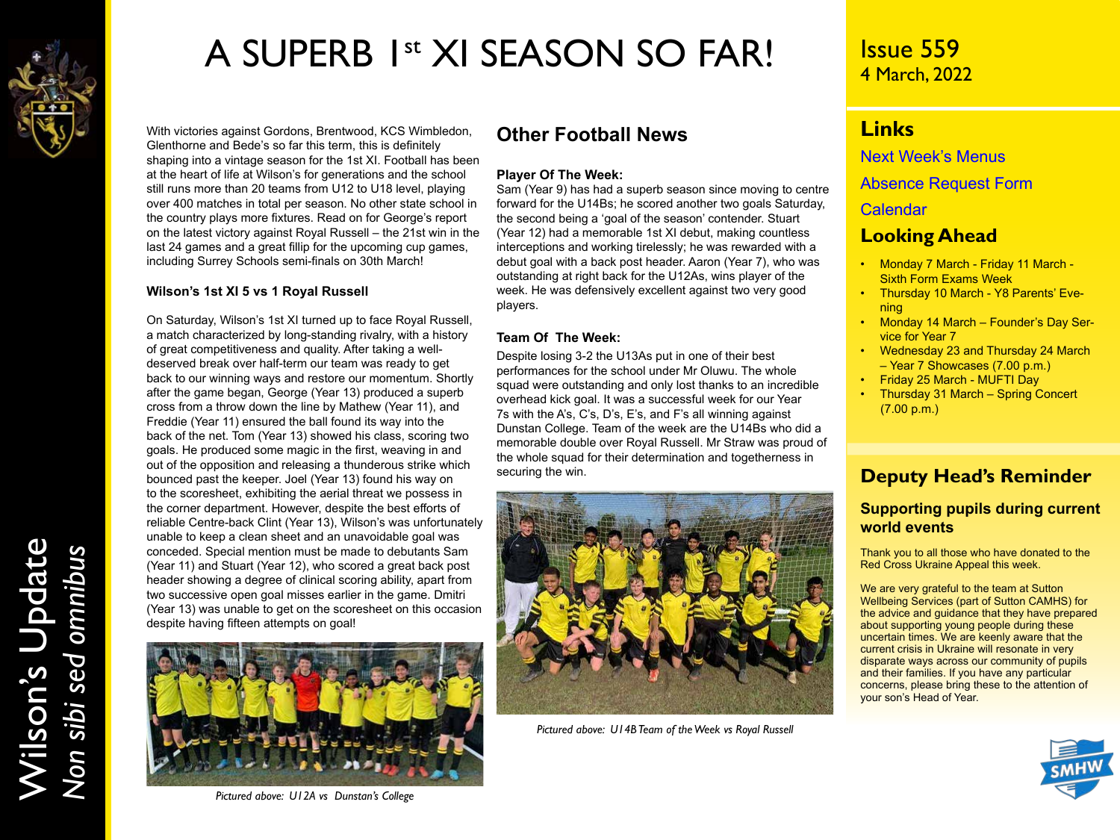

## A SUPERB 1st XI SEASON SO FAR!

With victories against Gordons, Brentwood, KCS Wimbledon, Glenthorne and Bede's so far this term, this is definitely shaping into a vintage season for the 1st XI. Football has been at the heart of life at Wilson's for generations and the school still runs more than 20 teams from U12 to U18 level, playing over 400 matches in total per season. No other state school in the country plays more fixtures. Read on for George's report on the latest victory against Royal Russell – the 21st win in the last 24 games and a great fillip for the upcoming cup games, including Surrey Schools semi-finals on 30th March!

#### **Wilson's 1st XI 5 vs 1 Royal Russell**

On Saturday, Wilson's 1st XI turned up to face Royal Russell, a match characterized by long-standing rivalry, with a history of great competitiveness and quality. After taking a welldeserved break over half-term our team was ready to get back to our winning ways and restore our momentum. Shortly after the game began, George (Year 13) produced a superb cross from a throw down the line by Mathew (Year 11), and Freddie (Year 11) ensured the ball found its way into the back of the net. Tom (Year 13) showed his class, scoring two goals. He produced some magic in the first, weaving in and out of the opposition and releasing a thunderous strike which bounced past the keeper. Joel (Year 13) found his way on to the scoresheet, exhibiting the aerial threat we possess in the corner department. However, despite the best efforts of reliable Centre-back Clint (Year 13), Wilson's was unfortunately unable to keep a clean sheet and an unavoidable goal was conceded. Special mention must be made to debutants Sam (Year 11) and Stuart (Year 12), who scored a great back post header showing a degree of clinical scoring ability, apart from two successive open goal misses earlier in the game. Dmitri (Year 13) was unable to get on the scoresheet on this occasion despite having fifteen attempts on goal!



#### *Pictured above: U12A vs Dunstan's College*

### **Other Football News**

#### **Player Of The Week:**

Sam (Year 9) has had a superb season since moving to centre forward for the U14Bs; he scored another two goals Saturday, the second being a 'goal of the season' contender. Stuart (Year 12) had a memorable 1st XI debut, making countless interceptions and working tirelessly; he was rewarded with a debut goal with a back post header. Aaron (Year 7), who was outstanding at right back for the U12As, wins player of the week. He was defensively excellent against two very good players.

#### **Team Of The Week:**

Despite losing 3-2 the U13As put in one of their best performances for the school under Mr Oluwu. The whole squad were outstanding and only lost thanks to an incredible overhead kick goal. It was a successful week for our Year 7s with the A's, C's, D's, E's, and F's all winning against Dunstan College. Team of the week are the U14Bs who did a memorable double over Royal Russell. Mr Straw was proud of the whole squad for their determination and togetherness in securing the win.



*Pictured above: U14B Team of the Week vs Royal Russell*

## Issue 559 4 March, 2022

## **Links**

[Next Week's Menus](https://www.wilsons.school/resources/Menus.pdf)

[Absence Request Form](http://www.wilsons.school/resources/Leave-of-Absence-Form.pdf)

[Calendar](https://www.wilsons.school/calendar/)

### **Looking Ahead**

- Monday 7 March Friday 11 March Sixth Form Exams Week
- Thursday 10 March Y8 Parents' Evening
- Monday 14 March Founder's Day Service for Year 7
- Wednesday 23 and Thursday 24 March – Year 7 Showcases (7.00 p.m.)
- Friday 25 March MUFTI Day
- Thursday 31 March Spring Concert (7.00 p.m.)

## **Deputy Head's Reminder**

### **Supporting pupils during current world events**

Thank you to all those who have donated to the Red Cross Ukraine Appeal this week.

We are very grateful to the team at Sutton Wellbeing Services (part of Sutton CAMHS) for the advice and guidance that they have prepared about supporting young people during these uncertain times. We are keenly aware that the current crisis in Ukraine will resonate in very disparate ways across our community of pupils and their families. If you have any particular concerns, please bring these to the attention of your son's Head of Year.

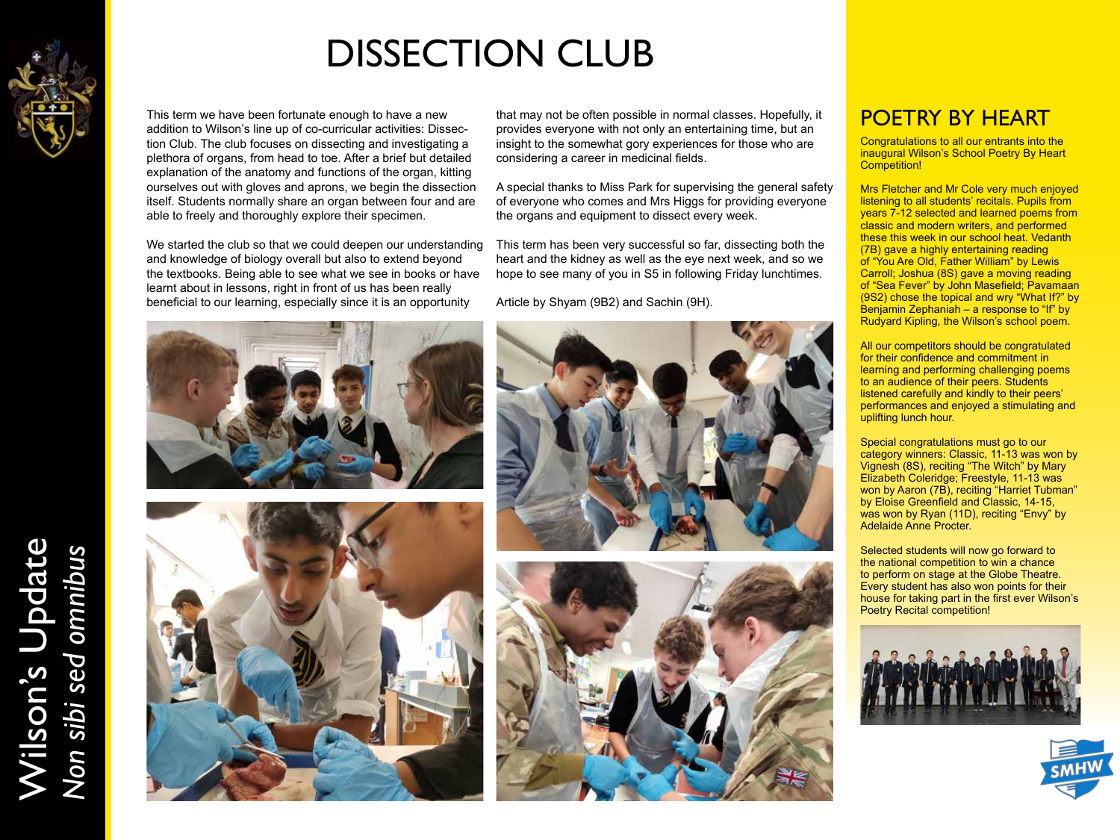

Wilson's Update

Wilson's Update<br>Non sibi sed omnibus

*Non sibi sed omnibus*

# DISSECTION CLUB

This term we have been fortunate enough to have a new addition to Wilson's line up of co-curricular activities: Dissection Club. The club focuses on dissecting and investigating a plethora of organs, from head to toe. After a brief but detailed explanation of the anatomy and functions of the organ, kitting ourselves out with gloves and aprons, we begin the dissection itself. Students normally share an organ between four and are able to freely and thoroughly explore their specimen.

We started the club so that we could deepen our understanding and knowledge of biology overall but also to extend beyond the textbooks. Being able to see what we see in books or have learnt about in lessons, right in front of us has been really beneficial to our learning, especially since it is an opportunity

that may not be often possible in normal classes. Hopefully, it **POETRY BY HEART** provides everyone with not only an entertaining time, but an insight to the somewhat gory experiences for those who are considering a career in medicinal fields.

A special thanks to Miss Park for supervising the general safety of everyone who comes and Mrs Higgs for providing everyone the organs and equipment to dissect every week.

This term has been very successful so far, dissecting both the heart and the kidney as well as the eye next week, and so we hope to see many of you in S5 in following Friday lunchtimes.

Article by Shyam (9B2) and Sachin (9H).









Congratulations to all our entrants into the inaugural Wilson's School Poetry By Heart Competition!

Mrs Fletcher and Mr Cole very much enjoyed listening to all students' recitals. Pupils from years 7-12 selected and learned poems from classic and modern writers, and performed these this week in our school heat. Vedanth (7B) gave a highly entertaining reading of "You Are Old, Father William" by Lewis Carroll; Joshua (8S) gave a moving reading of "Sea Fever" by John Masefield; Pavamaan (9S2) chose the topical and wry "What If?" by Benjamin Zephaniah – a response to "If" by Rudyard Kipling, the Wilson's school poem.

All our competitors should be congratulated for their confidence and commitment in learning and performing challenging poems to an audience of their peers. Students listened carefully and kindly to their peers' performances and enjoyed a stimulating and uplifting lunch hour.

Special congratulations must go to our category winners: Classic, 11-13 was won by Vignesh (8S), reciting "The Witch" by Mary Elizabeth Coleridge; Freestyle, 11-13 was won by Aaron (7B), reciting "Harriet Tubman" by Eloise Greenfield and Classic, 14-15, was won by Ryan (11D), reciting "Envy" by Adelaide Anne Procter.

Selected students will now go forward to the national competition to win a chance to perform on stage at the Globe Theatre. Every student has also won points for their house for taking part in the first ever Wilson's Poetry Recital competition!



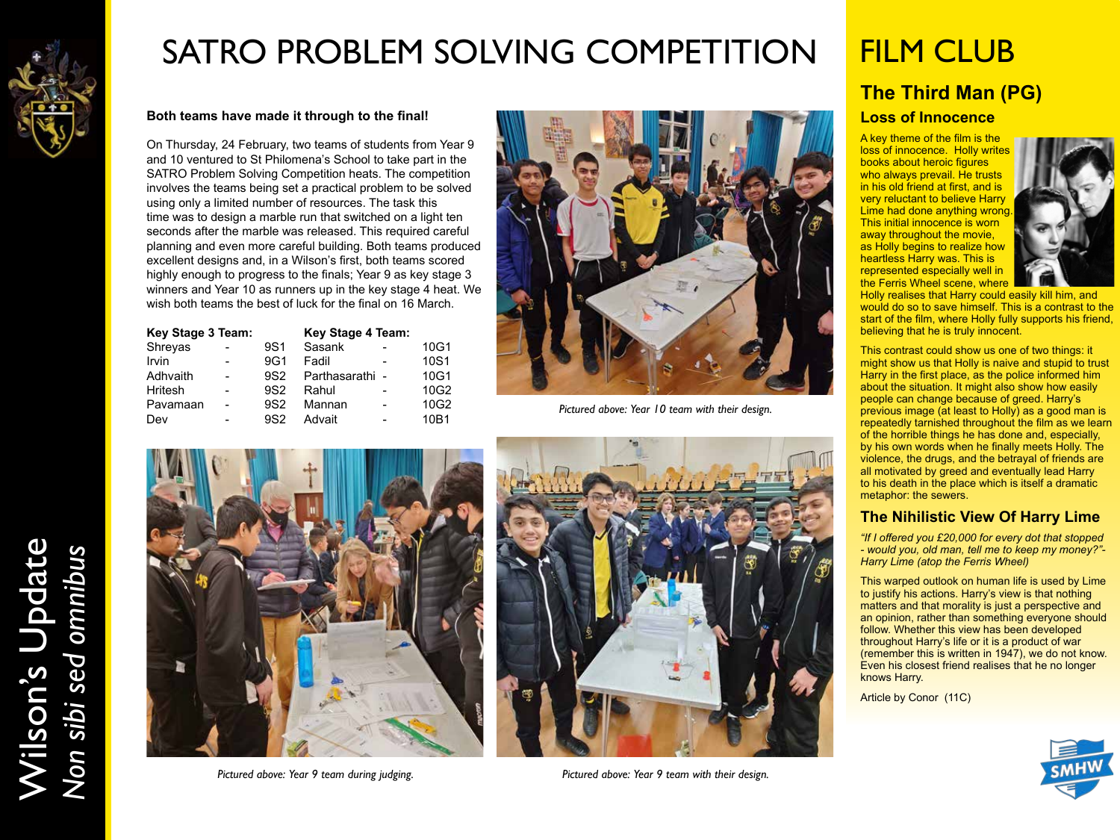

## SATRO PROBLEM SOLVING COMPETITION

#### **Both teams have made it through to the final!**

On Thursday, 24 February, two teams of students from Year 9 and 10 ventured to St Philomena's School to take part in the SATRO Problem Solving Competition heats. The competition involves the teams being set a practical problem to be solved using only a limited number of resources. The task this time was to design a marble run that switched on a light ten seconds after the marble was released. This required careful planning and even more careful building. Both teams produced excellent designs and, in a Wilson's first, both teams scored highly enough to progress to the finals; Year 9 as key stage 3 winners and Year 10 as runners up in the key stage 4 heat. We wish both teams the best of luck for the final on 16 March.

| <b>Key Stage 3 Team:</b> |  |                 | <b>Key Stage 4 Team:</b> |   |      |
|--------------------------|--|-----------------|--------------------------|---|------|
| Shreyas                  |  | 9S1             | Sasank                   |   | 10G1 |
| Irvin                    |  | 9G1             | Fadil                    |   | 10S1 |
| Adhvaith                 |  | 9S2             | Parthasarathi -          |   | 10G1 |
| <b>Hritesh</b>           |  | 9S <sub>2</sub> | Rahul                    |   | 10G2 |
| Pavamaan                 |  | 9S <sub>2</sub> | Mannan                   | ۰ | 10G2 |
| Dev                      |  | 9S <sub>2</sub> | Advait                   |   | 10B1 |



Dev - 9S2 Advait - 10B1 *Pictured above: Year 10 team with their design.*





*Pictured above: Year 9 team during judging. Pictured above: Year 9 team with their design.*

## **The Third Man (PG)** FILM CLUB

#### **Loss of Innocence**

A key theme of the film is the loss of innocence. Holly writes books about heroic figures who always prevail. He trusts in his old friend at first, and is very reluctant to believe Harry Lime had done anything wrong This initial innocence is worn away throughout the movie, as Holly begins to realize how heartless Harry was. This is represented especially well in the Ferris Wheel scene, where



Holly realises that Harry could easily kill him, and would do so to save himself. This is a contrast to the start of the film, where Holly fully supports his friend, believing that he is truly innocent.

This contrast could show us one of two things: it might show us that Holly is naive and stupid to trust Harry in the first place, as the police informed him about the situation. It might also show how easily people can change because of greed. Harry's previous image (at least to Holly) as a good man is repeatedly tarnished throughout the film as we learn of the horrible things he has done and, especially, by his own words when he finally meets Holly. The violence, the drugs, and the betrayal of friends are all motivated by greed and eventually lead Harry to his death in the place which is itself a dramatic metaphor: the sewers.

#### **The Nihilistic View Of Harry Lime**

*"If I offered you £20,000 for every dot that stopped - would you, old man, tell me to keep my money?"- Harry Lime (atop the Ferris Wheel)*

This warped outlook on human life is used by Lime to justify his actions. Harry's view is that nothing matters and that morality is just a perspective and an opinion, rather than something everyone should follow. Whether this view has been developed throughout Harry's life or it is a product of war (remember this is written in 1947), we do not know. Even his closest friend realises that he no longer knows Harry.

Article by Conor (11C)



Wilson's Update Wilson's Update<br>Non sibi sed omnibus *Non sibi sed omnibus*